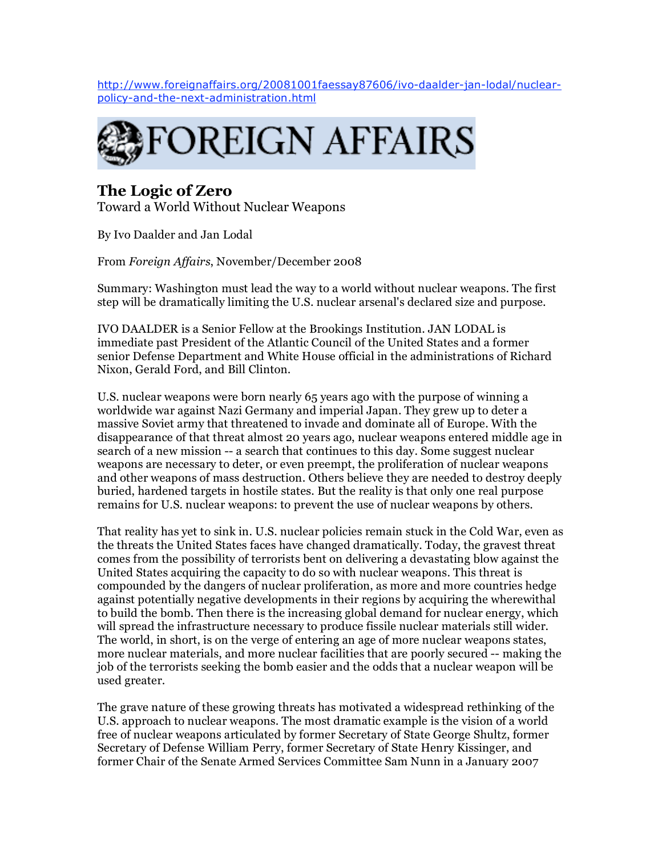http://www.foreignaffairs.org/20081001faessay87606/ivo-daalder-jan-lodal/nuclearpolicy-and-the-next-administration.html



# **The Logic of Zero**

Toward a World Without Nuclear Weapons

By Ivo Daalder and Jan Lodal

From *Foreign Affairs*, November/December 2008

Summary: Washington must lead the way to a world without nuclear weapons. The first step will be dramatically limiting the U.S. nuclear arsenal's declared size and purpose.

IVO DAALDER is a Senior Fellow at the Brookings Institution. JAN LODAL is immediate past President of the Atlantic Council of the United States and a former senior Defense Department and White House official in the administrations of Richard Nixon, Gerald Ford, and Bill Clinton.

U.S. nuclear weapons were born nearly 65 years ago with the purpose of winning a worldwide war against Nazi Germany and imperial Japan. They grew up to deter a massive Soviet army that threatened to invade and dominate all of Europe. With the disappearance of that threat almost 20 years ago, nuclear weapons entered middle age in search of a new mission -- a search that continues to this day. Some suggest nuclear weapons are necessary to deter, or even preempt, the proliferation of nuclear weapons and other weapons of mass destruction. Others believe they are needed to destroy deeply buried, hardened targets in hostile states. But the reality is that only one real purpose remains for U.S. nuclear weapons: to prevent the use of nuclear weapons by others.

That reality has yet to sink in. U.S. nuclear policies remain stuck in the Cold War, even as the threats the United States faces have changed dramatically. Today, the gravest threat comes from the possibility of terrorists bent on delivering a devastating blow against the United States acquiring the capacity to do so with nuclear weapons. This threat is compounded by the dangers of nuclear proliferation, as more and more countries hedge against potentially negative developments in their regions by acquiring the wherewithal to build the bomb. Then there is the increasing global demand for nuclear energy, which will spread the infrastructure necessary to produce fissile nuclear materials still wider. The world, in short, is on the verge of entering an age of more nuclear weapons states, more nuclear materials, and more nuclear facilities that are poorly secured -- making the job of the terrorists seeking the bomb easier and the odds that a nuclear weapon will be used greater.

The grave nature of these growing threats has motivated a widespread rethinking of the U.S. approach to nuclear weapons. The most dramatic example is the vision of a world free of nuclear weapons articulated by former Secretary of State George Shultz, former Secretary of Defense William Perry, former Secretary of State Henry Kissinger, and former Chair of the Senate Armed Services Committee Sam Nunn in a January 2007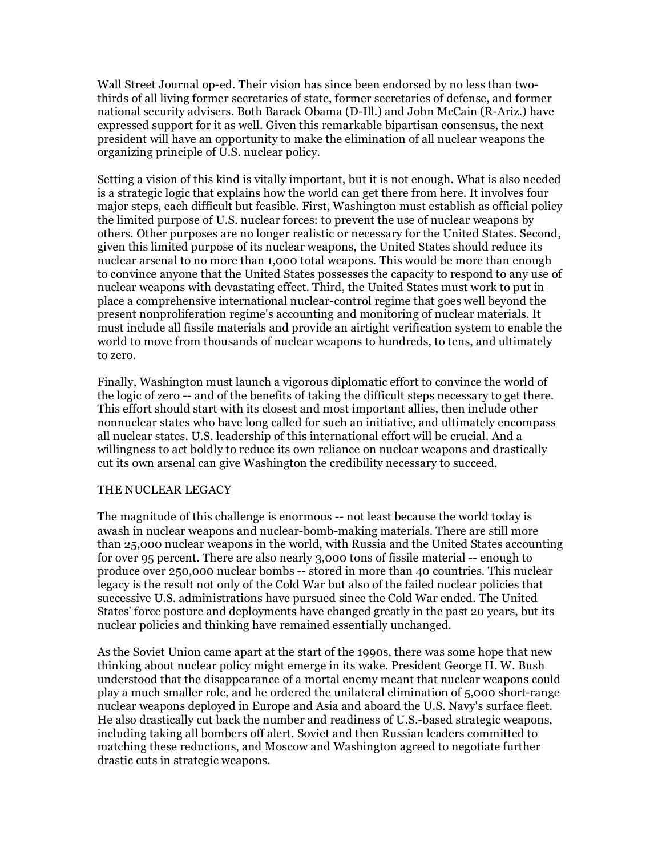Wall Street Journal op-ed. Their vision has since been endorsed by no less than twothirds of all living former secretaries of state, former secretaries of defense, and former national security advisers. Both Barack Obama (D-Ill.) and John McCain (R-Ariz.) have expressed support for it as well. Given this remarkable bipartisan consensus, the next president will have an opportunity to make the elimination of all nuclear weapons the organizing principle of U.S. nuclear policy.

Setting a vision of this kind is vitally important, but it is not enough. What is also needed is a strategic logic that explains how the world can get there from here. It involves four major steps, each difficult but feasible. First, Washington must establish as official policy the limited purpose of U.S. nuclear forces: to prevent the use of nuclear weapons by others. Other purposes are no longer realistic or necessary for the United States. Second, given this limited purpose of its nuclear weapons, the United States should reduce its nuclear arsenal to no more than 1,000 total weapons. This would be more than enough to convince anyone that the United States possesses the capacity to respond to any use of nuclear weapons with devastating effect. Third, the United States must work to put in place a comprehensive international nuclear-control regime that goes well beyond the present nonproliferation regime's accounting and monitoring of nuclear materials. It must include all fissile materials and provide an airtight verification system to enable the world to move from thousands of nuclear weapons to hundreds, to tens, and ultimately to zero.

Finally, Washington must launch a vigorous diplomatic effort to convince the world of the logic of zero -- and of the benefits of taking the difficult steps necessary to get there. This effort should start with its closest and most important allies, then include other nonnuclear states who have long called for such an initiative, and ultimately encompass all nuclear states. U.S. leadership of this international effort will be crucial. And a willingness to act boldly to reduce its own reliance on nuclear weapons and drastically cut its own arsenal can give Washington the credibility necessary to succeed.

## THE NUCLEAR LEGACY

The magnitude of this challenge is enormous -- not least because the world today is awash in nuclear weapons and nuclear-bomb-making materials. There are still more than 25,000 nuclear weapons in the world, with Russia and the United States accounting for over 95 percent. There are also nearly 3,000 tons of fissile material -- enough to produce over 250,000 nuclear bombs -- stored in more than 40 countries. This nuclear legacy is the result not only of the Cold War but also of the failed nuclear policies that successive U.S. administrations have pursued since the Cold War ended. The United States' force posture and deployments have changed greatly in the past 20 years, but its nuclear policies and thinking have remained essentially unchanged.

As the Soviet Union came apart at the start of the 1990s, there was some hope that new thinking about nuclear policy might emerge in its wake. President George H. W. Bush understood that the disappearance of a mortal enemy meant that nuclear weapons could play a much smaller role, and he ordered the unilateral elimination of 5,000 short-range nuclear weapons deployed in Europe and Asia and aboard the U.S. Navy's surface fleet. He also drastically cut back the number and readiness of U.S.-based strategic weapons, including taking all bombers off alert. Soviet and then Russian leaders committed to matching these reductions, and Moscow and Washington agreed to negotiate further drastic cuts in strategic weapons.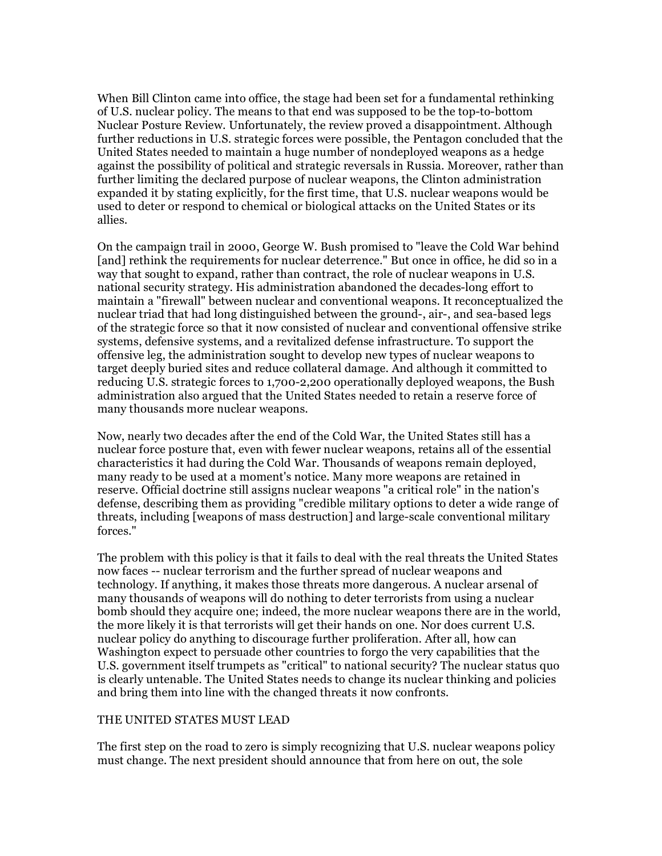When Bill Clinton came into office, the stage had been set for a fundamental rethinking of U.S. nuclear policy. The means to that end was supposed to be the top-to-bottom Nuclear Posture Review. Unfortunately, the review proved a disappointment. Although further reductions in U.S. strategic forces were possible, the Pentagon concluded that the United States needed to maintain a huge number of nondeployed weapons as a hedge against the possibility of political and strategic reversals in Russia. Moreover, rather than further limiting the declared purpose of nuclear weapons, the Clinton administration expanded it by stating explicitly, for the first time, that U.S. nuclear weapons would be used to deter or respond to chemical or biological attacks on the United States or its allies.

On the campaign trail in 2000, George W. Bush promised to "leave the Cold War behind [and] rethink the requirements for nuclear deterrence." But once in office, he did so in a way that sought to expand, rather than contract, the role of nuclear weapons in U.S. national security strategy. His administration abandoned the decades-long effort to maintain a "firewall" between nuclear and conventional weapons. It reconceptualized the nuclear triad that had long distinguished between the ground-, air-, and sea-based legs of the strategic force so that it now consisted of nuclear and conventional offensive strike systems, defensive systems, and a revitalized defense infrastructure. To support the offensive leg, the administration sought to develop new types of nuclear weapons to target deeply buried sites and reduce collateral damage. And although it committed to reducing U.S. strategic forces to 1,700-2,200 operationally deployed weapons, the Bush administration also argued that the United States needed to retain a reserve force of many thousands more nuclear weapons.

Now, nearly two decades after the end of the Cold War, the United States still has a nuclear force posture that, even with fewer nuclear weapons, retains all of the essential characteristics it had during the Cold War. Thousands of weapons remain deployed, many ready to be used at a moment's notice. Many more weapons are retained in reserve. Official doctrine still assigns nuclear weapons "a critical role" in the nation's defense, describing them as providing "credible military options to deter a wide range of threats, including [weapons of mass destruction] and large-scale conventional military forces."

The problem with this policy is that it fails to deal with the real threats the United States now faces -- nuclear terrorism and the further spread of nuclear weapons and technology. If anything, it makes those threats more dangerous. A nuclear arsenal of many thousands of weapons will do nothing to deter terrorists from using a nuclear bomb should they acquire one; indeed, the more nuclear weapons there are in the world, the more likely it is that terrorists will get their hands on one. Nor does current U.S. nuclear policy do anything to discourage further proliferation. After all, how can Washington expect to persuade other countries to forgo the very capabilities that the U.S. government itself trumpets as "critical" to national security? The nuclear status quo is clearly untenable. The United States needs to change its nuclear thinking and policies and bring them into line with the changed threats it now confronts.

## THE UNITED STATES MUST LEAD

The first step on the road to zero is simply recognizing that U.S. nuclear weapons policy must change. The next president should announce that from here on out, the sole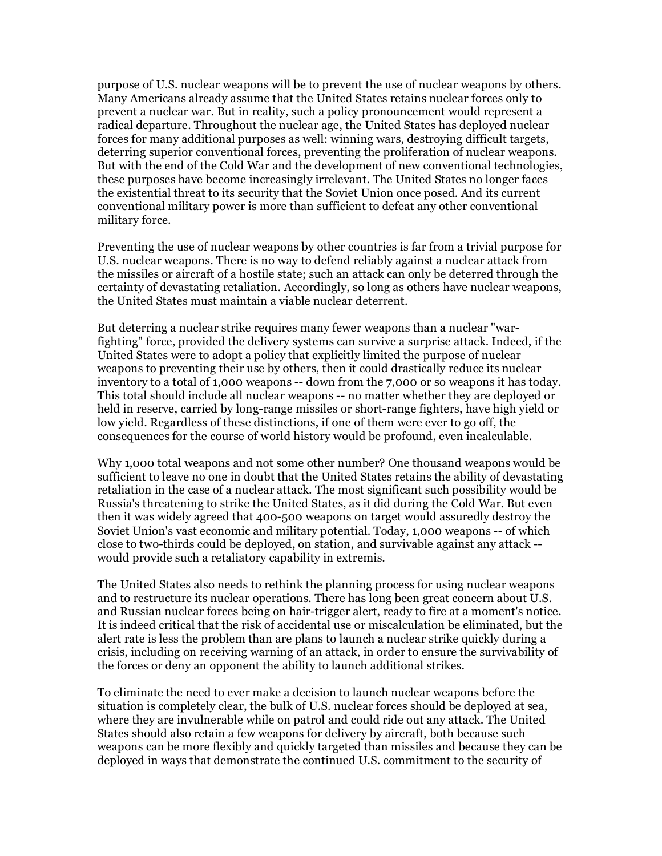purpose of U.S. nuclear weapons will be to prevent the use of nuclear weapons by others. Many Americans already assume that the United States retains nuclear forces only to prevent a nuclear war. But in reality, such a policy pronouncement would represent a radical departure. Throughout the nuclear age, the United States has deployed nuclear forces for many additional purposes as well: winning wars, destroying difficult targets, deterring superior conventional forces, preventing the proliferation of nuclear weapons. But with the end of the Cold War and the development of new conventional technologies, these purposes have become increasingly irrelevant. The United States no longer faces the existential threat to its security that the Soviet Union once posed. And its current conventional military power is more than sufficient to defeat any other conventional military force.

Preventing the use of nuclear weapons by other countries is far from a trivial purpose for U.S. nuclear weapons. There is no way to defend reliably against a nuclear attack from the missiles or aircraft of a hostile state; such an attack can only be deterred through the certainty of devastating retaliation. Accordingly, so long as others have nuclear weapons, the United States must maintain a viable nuclear deterrent.

But deterring a nuclear strike requires many fewer weapons than a nuclear "warfighting" force, provided the delivery systems can survive a surprise attack. Indeed, if the United States were to adopt a policy that explicitly limited the purpose of nuclear weapons to preventing their use by others, then it could drastically reduce its nuclear inventory to a total of 1,000 weapons -- down from the 7,000 or so weapons it has today. This total should include all nuclear weapons -- no matter whether they are deployed or held in reserve, carried by long-range missiles or short-range fighters, have high yield or low yield. Regardless of these distinctions, if one of them were ever to go off, the consequences for the course of world history would be profound, even incalculable.

Why 1,000 total weapons and not some other number? One thousand weapons would be sufficient to leave no one in doubt that the United States retains the ability of devastating retaliation in the case of a nuclear attack. The most significant such possibility would be Russia's threatening to strike the United States, as it did during the Cold War. But even then it was widely agreed that 400-500 weapons on target would assuredly destroy the Soviet Union's vast economic and military potential. Today, 1,000 weapons -- of which close to two-thirds could be deployed, on station, and survivable against any attack - would provide such a retaliatory capability in extremis.

The United States also needs to rethink the planning process for using nuclear weapons and to restructure its nuclear operations. There has long been great concern about U.S. and Russian nuclear forces being on hair-trigger alert, ready to fire at a moment's notice. It is indeed critical that the risk of accidental use or miscalculation be eliminated, but the alert rate is less the problem than are plans to launch a nuclear strike quickly during a crisis, including on receiving warning of an attack, in order to ensure the survivability of the forces or deny an opponent the ability to launch additional strikes.

To eliminate the need to ever make a decision to launch nuclear weapons before the situation is completely clear, the bulk of U.S. nuclear forces should be deployed at sea, where they are invulnerable while on patrol and could ride out any attack. The United States should also retain a few weapons for delivery by aircraft, both because such weapons can be more flexibly and quickly targeted than missiles and because they can be deployed in ways that demonstrate the continued U.S. commitment to the security of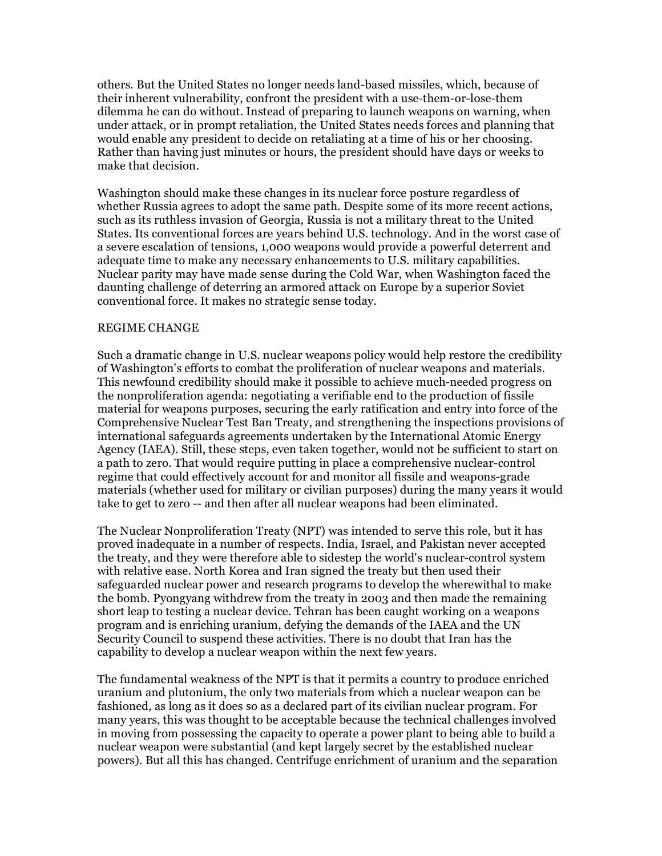others. But the United States no longer needs land-based missiles, which, because of their inherent vulnerability, confront the president with a use-them-or-lose-them dilemma he can do without. Instead of preparing to launch weapons on warning, when under attack, or in prompt retaliation, the United States needs forces and planning that would enable any president to decide on retaliating at a time of his or her choosing. Rather than having just minutes or hours, the president should have days or weeks to make that decision.

Washington should make these changes in its nuclear force posture regardless of whether Russia agrees to adopt the same path. Despite some of its more recent actions, such as its ruthless invasion of Georgia, Russia is not a military threat to the United States. Its conventional forces are years behind U.S. technology. And in the worst case of a severe escalation of tensions, 1,000 weapons would provide a powerful deterrent and adequate time to make any necessary enhancements to U.S. military capabilities. Nuclear parity may have made sense during the Cold War, when Washington faced the daunting challenge of deterring an armored attack on Europe by a superior Soviet conventional force. It makes no strategic sense today.

### REGIME CHANGE

Such a dramatic change in U.S. nuclear weapons policy would help restore the credibility of Washington's efforts to combat the proliferation of nuclear weapons and materials. This newfound credibility should make it possible to achieve much-needed progress on the nonproliferation agenda: negotiating a verifiable end to the production of fissile material for weapons purposes, securing the early ratification and entry into force of the Comprehensive Nuclear Test Ban Treaty, and strengthening the inspections provisions of international safeguards agreements undertaken by the International Atomic Energy Agency (IAEA). Still, these steps, even taken together, would not be sufficient to start on a path to zero. That would require putting in place a comprehensive nuclear-control regime that could effectively account for and monitor all fissile and weapons-grade materials (whether used for military or civilian purposes) during the many years it would take to get to zero -- and then after all nuclear weapons had been eliminated.

The Nuclear Nonproliferation Treaty (NPT) was intended to serve this role, but it has proved inadequate in a number of respects. India, Israel, and Pakistan never accepted the treaty, and they were therefore able to sidestep the world's nuclear-control system with relative ease. North Korea and Iran signed the treaty but then used their safeguarded nuclear power and research programs to develop the wherewithal to make the bomb. Pyongyang withdrew from the treaty in 2003 and then made the remaining short leap to testing a nuclear device. Tehran has been caught working on a weapons program and is enriching uranium, defying the demands of the IAEA and the UN Security Council to suspend these activities. There is no doubt that Iran has the capability to develop a nuclear weapon within the next few years.

The fundamental weakness of the NPT is that it permits a country to produce enriched uranium and plutonium, the only two materials from which a nuclear weapon can be fashioned, as long as it does so as a declared part of its civilian nuclear program. For many years, this was thought to be acceptable because the technical challenges involved in moving from possessing the capacity to operate a power plant to being able to build a nuclear weapon were substantial (and kept largely secret by the established nuclear powers). But all this has changed. Centrifuge enrichment of uranium and the separation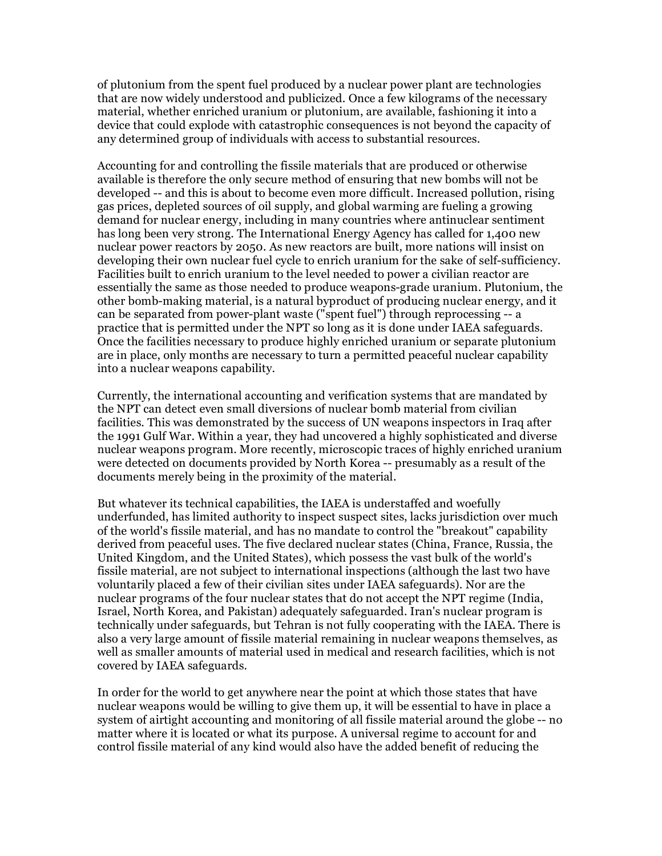of plutonium from the spent fuel produced by a nuclear power plant are technologies that are now widely understood and publicized. Once a few kilograms of the necessary material, whether enriched uranium or plutonium, are available, fashioning it into a device that could explode with catastrophic consequences is not beyond the capacity of any determined group of individuals with access to substantial resources.

Accounting for and controlling the fissile materials that are produced or otherwise available is therefore the only secure method of ensuring that new bombs will not be developed -- and this is about to become even more difficult. Increased pollution, rising gas prices, depleted sources of oil supply, and global warming are fueling a growing demand for nuclear energy, including in many countries where antinuclear sentiment has long been very strong. The International Energy Agency has called for 1,400 new nuclear power reactors by 2050. As new reactors are built, more nations will insist on developing their own nuclear fuel cycle to enrich uranium for the sake of self-sufficiency. Facilities built to enrich uranium to the level needed to power a civilian reactor are essentially the same as those needed to produce weapons-grade uranium. Plutonium, the other bomb-making material, is a natural byproduct of producing nuclear energy, and it can be separated from power-plant waste ("spent fuel") through reprocessing -- a practice that is permitted under the NPT so long as it is done under IAEA safeguards. Once the facilities necessary to produce highly enriched uranium or separate plutonium are in place, only months are necessary to turn a permitted peaceful nuclear capability into a nuclear weapons capability.

Currently, the international accounting and verification systems that are mandated by the NPT can detect even small diversions of nuclear bomb material from civilian facilities. This was demonstrated by the success of UN weapons inspectors in Iraq after the 1991 Gulf War. Within a year, they had uncovered a highly sophisticated and diverse nuclear weapons program. More recently, microscopic traces of highly enriched uranium were detected on documents provided by North Korea -- presumably as a result of the documents merely being in the proximity of the material.

But whatever its technical capabilities, the IAEA is understaffed and woefully underfunded, has limited authority to inspect suspect sites, lacks jurisdiction over much of the world's fissile material, and has no mandate to control the "breakout" capability derived from peaceful uses. The five declared nuclear states (China, France, Russia, the United Kingdom, and the United States), which possess the vast bulk of the world's fissile material, are not subject to international inspections (although the last two have voluntarily placed a few of their civilian sites under IAEA safeguards). Nor are the nuclear programs of the four nuclear states that do not accept the NPT regime (India, Israel, North Korea, and Pakistan) adequately safeguarded. Iran's nuclear program is technically under safeguards, but Tehran is not fully cooperating with the IAEA. There is also a very large amount of fissile material remaining in nuclear weapons themselves, as well as smaller amounts of material used in medical and research facilities, which is not covered by IAEA safeguards.

In order for the world to get anywhere near the point at which those states that have nuclear weapons would be willing to give them up, it will be essential to have in place a system of airtight accounting and monitoring of all fissile material around the globe -- no matter where it is located or what its purpose. A universal regime to account for and control fissile material of any kind would also have the added benefit of reducing the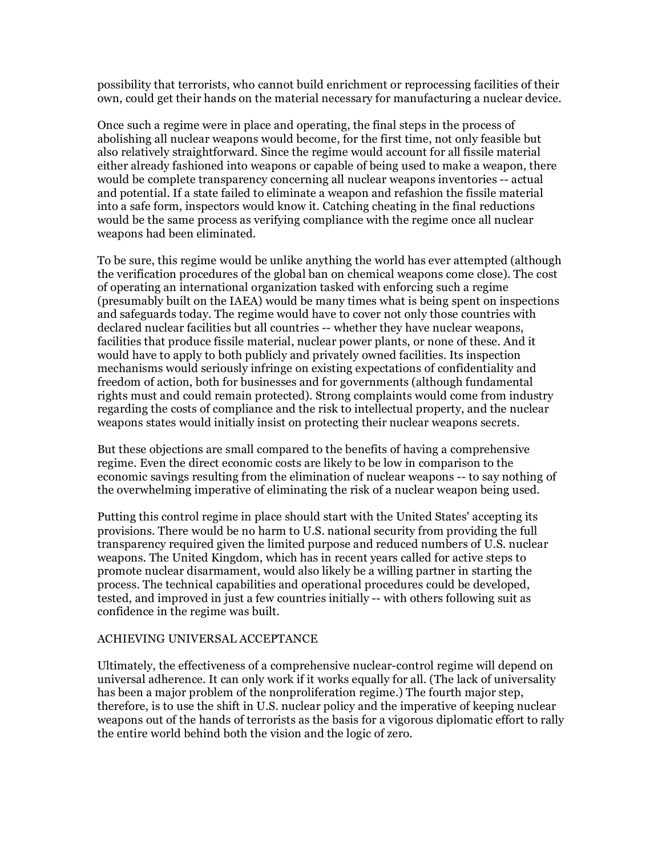possibility that terrorists, who cannot build enrichment or reprocessing facilities of their own, could get their hands on the material necessary for manufacturing a nuclear device.

Once such a regime were in place and operating, the final steps in the process of abolishing all nuclear weapons would become, for the first time, not only feasible but also relatively straightforward. Since the regime would account for all fissile material either already fashioned into weapons or capable of being used to make a weapon, there would be complete transparency concerning all nuclear weapons inventories -- actual and potential. If a state failed to eliminate a weapon and refashion the fissile material into a safe form, inspectors would know it. Catching cheating in the final reductions would be the same process as verifying compliance with the regime once all nuclear weapons had been eliminated.

To be sure, this regime would be unlike anything the world has ever attempted (although the verification procedures of the global ban on chemical weapons come close). The cost of operating an international organization tasked with enforcing such a regime (presumably built on the IAEA) would be many times what is being spent on inspections and safeguards today. The regime would have to cover not only those countries with declared nuclear facilities but all countries -- whether they have nuclear weapons, facilities that produce fissile material, nuclear power plants, or none of these. And it would have to apply to both publicly and privately owned facilities. Its inspection mechanisms would seriously infringe on existing expectations of confidentiality and freedom of action, both for businesses and for governments (although fundamental rights must and could remain protected). Strong complaints would come from industry regarding the costs of compliance and the risk to intellectual property, and the nuclear weapons states would initially insist on protecting their nuclear weapons secrets.

But these objections are small compared to the benefits of having a comprehensive regime. Even the direct economic costs are likely to be low in comparison to the economic savings resulting from the elimination of nuclear weapons -- to say nothing of the overwhelming imperative of eliminating the risk of a nuclear weapon being used.

Putting this control regime in place should start with the United States' accepting its provisions. There would be no harm to U.S. national security from providing the full transparency required given the limited purpose and reduced numbers of U.S. nuclear weapons. The United Kingdom, which has in recent years called for active steps to promote nuclear disarmament, would also likely be a willing partner in starting the process. The technical capabilities and operational procedures could be developed, tested, and improved in just a few countries initially -- with others following suit as confidence in the regime was built.

## ACHIEVING UNIVERSAL ACCEPTANCE

Ultimately, the effectiveness of a comprehensive nuclear-control regime will depend on universal adherence. It can only work if it works equally for all. (The lack of universality has been a major problem of the nonproliferation regime.) The fourth major step, therefore, is to use the shift in U.S. nuclear policy and the imperative of keeping nuclear weapons out of the hands of terrorists as the basis for a vigorous diplomatic effort to rally the entire world behind both the vision and the logic of zero.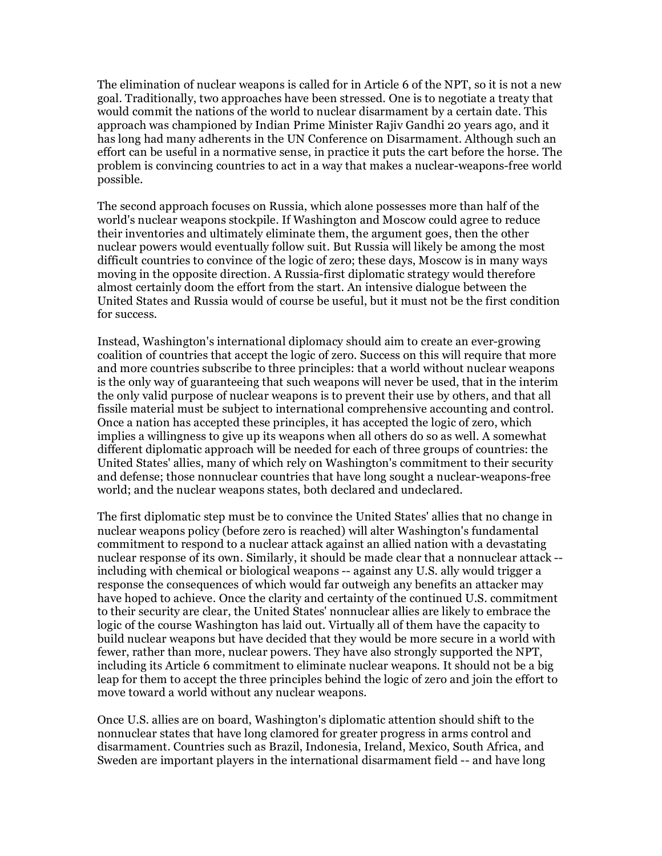The elimination of nuclear weapons is called for in Article 6 of the NPT, so it is not a new goal. Traditionally, two approaches have been stressed. One is to negotiate a treaty that would commit the nations of the world to nuclear disarmament by a certain date. This approach was championed by Indian Prime Minister Rajiv Gandhi 20 years ago, and it has long had many adherents in the UN Conference on Disarmament. Although such an effort can be useful in a normative sense, in practice it puts the cart before the horse. The problem is convincing countries to act in a way that makes a nuclear-weapons-free world possible.

The second approach focuses on Russia, which alone possesses more than half of the world's nuclear weapons stockpile. If Washington and Moscow could agree to reduce their inventories and ultimately eliminate them, the argument goes, then the other nuclear powers would eventually follow suit. But Russia will likely be among the most difficult countries to convince of the logic of zero; these days, Moscow is in many ways moving in the opposite direction. A Russia-first diplomatic strategy would therefore almost certainly doom the effort from the start. An intensive dialogue between the United States and Russia would of course be useful, but it must not be the first condition for success.

Instead, Washington's international diplomacy should aim to create an ever-growing coalition of countries that accept the logic of zero. Success on this will require that more and more countries subscribe to three principles: that a world without nuclear weapons is the only way of guaranteeing that such weapons will never be used, that in the interim the only valid purpose of nuclear weapons is to prevent their use by others, and that all fissile material must be subject to international comprehensive accounting and control. Once a nation has accepted these principles, it has accepted the logic of zero, which implies a willingness to give up its weapons when all others do so as well. A somewhat different diplomatic approach will be needed for each of three groups of countries: the United States' allies, many of which rely on Washington's commitment to their security and defense; those nonnuclear countries that have long sought a nuclear-weapons-free world; and the nuclear weapons states, both declared and undeclared.

The first diplomatic step must be to convince the United States' allies that no change in nuclear weapons policy (before zero is reached) will alter Washington's fundamental commitment to respond to a nuclear attack against an allied nation with a devastating nuclear response of its own. Similarly, it should be made clear that a nonnuclear attack - including with chemical or biological weapons -- against any U.S. ally would trigger a response the consequences of which would far outweigh any benefits an attacker may have hoped to achieve. Once the clarity and certainty of the continued U.S. commitment to their security are clear, the United States' nonnuclear allies are likely to embrace the logic of the course Washington has laid out. Virtually all of them have the capacity to build nuclear weapons but have decided that they would be more secure in a world with fewer, rather than more, nuclear powers. They have also strongly supported the NPT, including its Article 6 commitment to eliminate nuclear weapons. It should not be a big leap for them to accept the three principles behind the logic of zero and join the effort to move toward a world without any nuclear weapons.

Once U.S. allies are on board, Washington's diplomatic attention should shift to the nonnuclear states that have long clamored for greater progress in arms control and disarmament. Countries such as Brazil, Indonesia, Ireland, Mexico, South Africa, and Sweden are important players in the international disarmament field -- and have long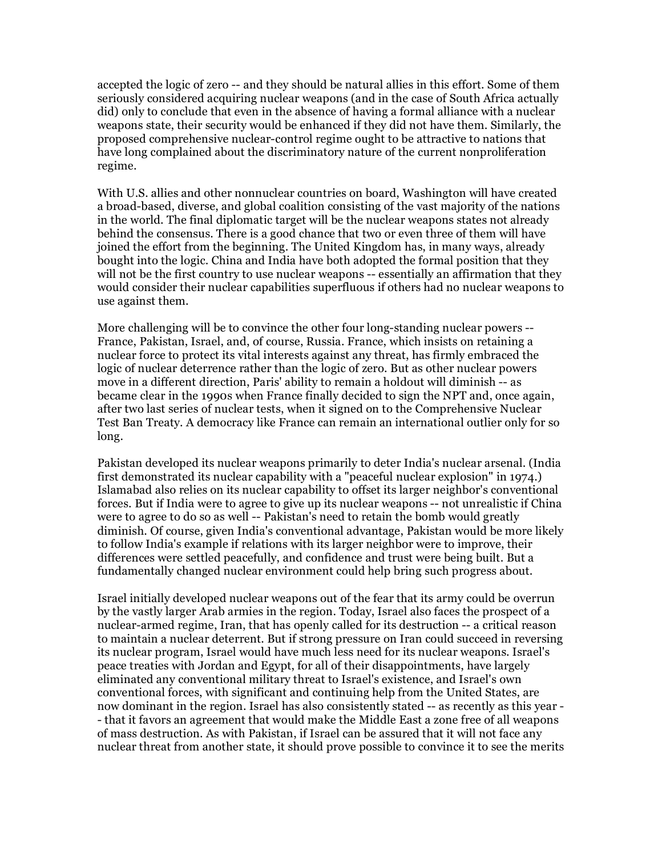accepted the logic of zero -- and they should be natural allies in this effort. Some of them seriously considered acquiring nuclear weapons (and in the case of South Africa actually did) only to conclude that even in the absence of having a formal alliance with a nuclear weapons state, their security would be enhanced if they did not have them. Similarly, the proposed comprehensive nuclear-control regime ought to be attractive to nations that have long complained about the discriminatory nature of the current nonproliferation regime.

With U.S. allies and other nonnuclear countries on board, Washington will have created a broad-based, diverse, and global coalition consisting of the vast majority of the nations in the world. The final diplomatic target will be the nuclear weapons states not already behind the consensus. There is a good chance that two or even three of them will have joined the effort from the beginning. The United Kingdom has, in many ways, already bought into the logic. China and India have both adopted the formal position that they will not be the first country to use nuclear weapons -- essentially an affirmation that they would consider their nuclear capabilities superfluous if others had no nuclear weapons to use against them.

More challenging will be to convince the other four long-standing nuclear powers -- France, Pakistan, Israel, and, of course, Russia. France, which insists on retaining a nuclear force to protect its vital interests against any threat, has firmly embraced the logic of nuclear deterrence rather than the logic of zero. But as other nuclear powers move in a different direction, Paris' ability to remain a holdout will diminish -- as became clear in the 1990s when France finally decided to sign the NPT and, once again, after two last series of nuclear tests, when it signed on to the Comprehensive Nuclear Test Ban Treaty. A democracy like France can remain an international outlier only for so long.

Pakistan developed its nuclear weapons primarily to deter India's nuclear arsenal. (India first demonstrated its nuclear capability with a "peaceful nuclear explosion" in 1974.) Islamabad also relies on its nuclear capability to offset its larger neighbor's conventional forces. But if India were to agree to give up its nuclear weapons -- not unrealistic if China were to agree to do so as well -- Pakistan's need to retain the bomb would greatly diminish. Of course, given India's conventional advantage, Pakistan would be more likely to follow India's example if relations with its larger neighbor were to improve, their differences were settled peacefully, and confidence and trust were being built. But a fundamentally changed nuclear environment could help bring such progress about.

Israel initially developed nuclear weapons out of the fear that its army could be overrun by the vastly larger Arab armies in the region. Today, Israel also faces the prospect of a nuclear-armed regime, Iran, that has openly called for its destruction -- a critical reason to maintain a nuclear deterrent. But if strong pressure on Iran could succeed in reversing its nuclear program, Israel would have much less need for its nuclear weapons. Israel's peace treaties with Jordan and Egypt, for all of their disappointments, have largely eliminated any conventional military threat to Israel's existence, and Israel's own conventional forces, with significant and continuing help from the United States, are now dominant in the region. Israel has also consistently stated -- as recently as this year - - that it favors an agreement that would make the Middle East a zone free of all weapons of mass destruction. As with Pakistan, if Israel can be assured that it will not face any nuclear threat from another state, it should prove possible to convince it to see the merits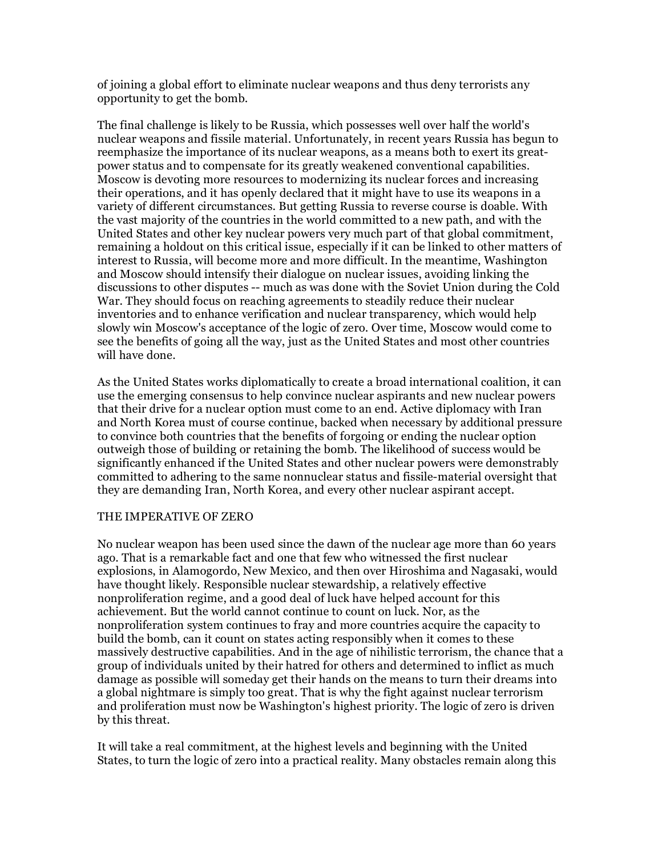of joining a global effort to eliminate nuclear weapons and thus deny terrorists any opportunity to get the bomb.

The final challenge is likely to be Russia, which possesses well over half the world's nuclear weapons and fissile material. Unfortunately, in recent years Russia has begun to reemphasize the importance of its nuclear weapons, as a means both to exert its greatpower status and to compensate for its greatly weakened conventional capabilities. Moscow is devoting more resources to modernizing its nuclear forces and increasing their operations, and it has openly declared that it might have to use its weapons in a variety of different circumstances. But getting Russia to reverse course is doable. With the vast majority of the countries in the world committed to a new path, and with the United States and other key nuclear powers very much part of that global commitment, remaining a holdout on this critical issue, especially if it can be linked to other matters of interest to Russia, will become more and more difficult. In the meantime, Washington and Moscow should intensify their dialogue on nuclear issues, avoiding linking the discussions to other disputes -- much as was done with the Soviet Union during the Cold War. They should focus on reaching agreements to steadily reduce their nuclear inventories and to enhance verification and nuclear transparency, which would help slowly win Moscow's acceptance of the logic of zero. Over time, Moscow would come to see the benefits of going all the way, just as the United States and most other countries will have done.

As the United States works diplomatically to create a broad international coalition, it can use the emerging consensus to help convince nuclear aspirants and new nuclear powers that their drive for a nuclear option must come to an end. Active diplomacy with Iran and North Korea must of course continue, backed when necessary by additional pressure to convince both countries that the benefits of forgoing or ending the nuclear option outweigh those of building or retaining the bomb. The likelihood of success would be significantly enhanced if the United States and other nuclear powers were demonstrably committed to adhering to the same nonnuclear status and fissile-material oversight that they are demanding Iran, North Korea, and every other nuclear aspirant accept.

#### THE IMPERATIVE OF ZERO

No nuclear weapon has been used since the dawn of the nuclear age more than 60 years ago. That is a remarkable fact and one that few who witnessed the first nuclear explosions, in Alamogordo, New Mexico, and then over Hiroshima and Nagasaki, would have thought likely. Responsible nuclear stewardship, a relatively effective nonproliferation regime, and a good deal of luck have helped account for this achievement. But the world cannot continue to count on luck. Nor, as the nonproliferation system continues to fray and more countries acquire the capacity to build the bomb, can it count on states acting responsibly when it comes to these massively destructive capabilities. And in the age of nihilistic terrorism, the chance that a group of individuals united by their hatred for others and determined to inflict as much damage as possible will someday get their hands on the means to turn their dreams into a global nightmare is simply too great. That is why the fight against nuclear terrorism and proliferation must now be Washington's highest priority. The logic of zero is driven by this threat.

It will take a real commitment, at the highest levels and beginning with the United States, to turn the logic of zero into a practical reality. Many obstacles remain along this